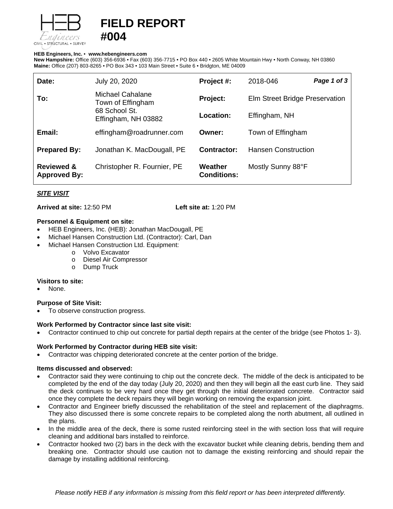

# **FIELD REPORT #004**

#### **HEB Engineers, Inc.** • **[www.hebengineer](http://www.hebengineers.com/)s.com**

**New Hampshire:** Office (603) 356-6936 • Fax (603) 356-7715 • PO Box 440 • 2605 White Mountain Hwy • North Conway, NH 03860 **Maine:** Office (207) 803-8265 • PO Box 343 • 103 Main Street • Suite 6 • Bridgton, ME 04009

| Date:                                        | July 20, 2020                                                                        | Project #:                    | 2018-046                       | Page 1 of 3 |
|----------------------------------------------|--------------------------------------------------------------------------------------|-------------------------------|--------------------------------|-------------|
| To:                                          | <b>Michael Cahalane</b><br>Town of Effingham<br>68 School St.<br>Effingham, NH 03882 | Project:                      | Elm Street Bridge Preservation |             |
|                                              |                                                                                      | Location:                     | Effingham, NH                  |             |
| Email:                                       | effingham@roadrunner.com                                                             | Owner:                        | Town of Effingham              |             |
| <b>Prepared By:</b>                          | Jonathan K. MacDougall, PE                                                           | Contractor:                   | <b>Hansen Construction</b>     |             |
| <b>Reviewed &amp;</b><br><b>Approved By:</b> | Christopher R. Fournier, PE                                                          | Weather<br><b>Conditions:</b> | Mostly Sunny 88°F              |             |

# *SITE VISIT*

**Arrived at site:** 12:50 PM **Left site at:** 1:20 PM

#### **Personnel & Equipment on site:**

- HEB Engineers, Inc. (HEB): Jonathan MacDougall, PE
- Michael Hansen Construction Ltd. (Contractor): Carl, Dan
- Michael Hansen Construction Ltd. Equipment:
	- o Volvo Excavator
		- o Diesel Air Compressor
		- o Dump Truck

#### **Visitors to site:**

None.

# **Purpose of Site Visit:**

To observe construction progress.

# **Work Performed by Contractor since last site visit:**

• Contractor continued to chip out concrete for partial depth repairs at the center of the bridge (see Photos 1- 3).

# **Work Performed by Contractor during HEB site visit:**

• Contractor was chipping deteriorated concrete at the center portion of the bridge.

#### **Items discussed and observed:**

- Contractor said they were continuing to chip out the concrete deck. The middle of the deck is anticipated to be completed by the end of the day today (July 20, 2020) and then they will begin all the east curb line. They said the deck continues to be very hard once they get through the initial deteriorated concrete. Contractor said once they complete the deck repairs they will begin working on removing the expansion joint.
- Contractor and Engineer briefly discussed the rehabilitation of the steel and replacement of the diaphragms. They also discussed there is some concrete repairs to be completed along the north abutment, all outlined in the plans.
- In the middle area of the deck, there is some rusted reinforcing steel in the with section loss that will require cleaning and additional bars installed to reinforce.
- Contractor hooked two (2) bars in the deck with the excavator bucket while cleaning debris, bending them and breaking one. Contractor should use caution not to damage the existing reinforcing and should repair the damage by installing additional reinforcing.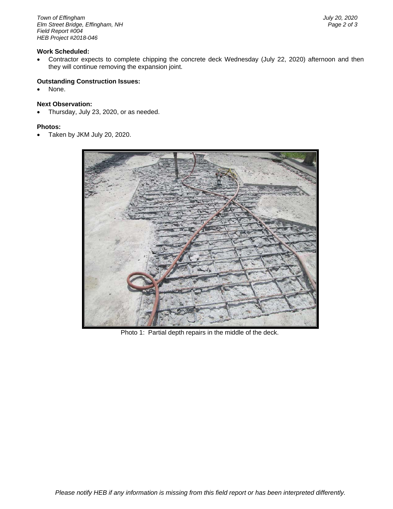*Town of Effingham July 20, 2020 Elm Street Bridge, Effingham, NH Field Report #004 HEB Project #2018-046*

#### **Work Scheduled:**

• Contractor expects to complete chipping the concrete deck Wednesday (July 22, 2020) afternoon and then they will continue removing the expansion joint.

#### **Outstanding Construction Issues:**

None.

# **Next Observation:**

• Thursday, July 23, 2020, or as needed.

#### **Photos:**

• Taken by JKM July 20, 2020.



Photo 1: Partial depth repairs in the middle of the deck.